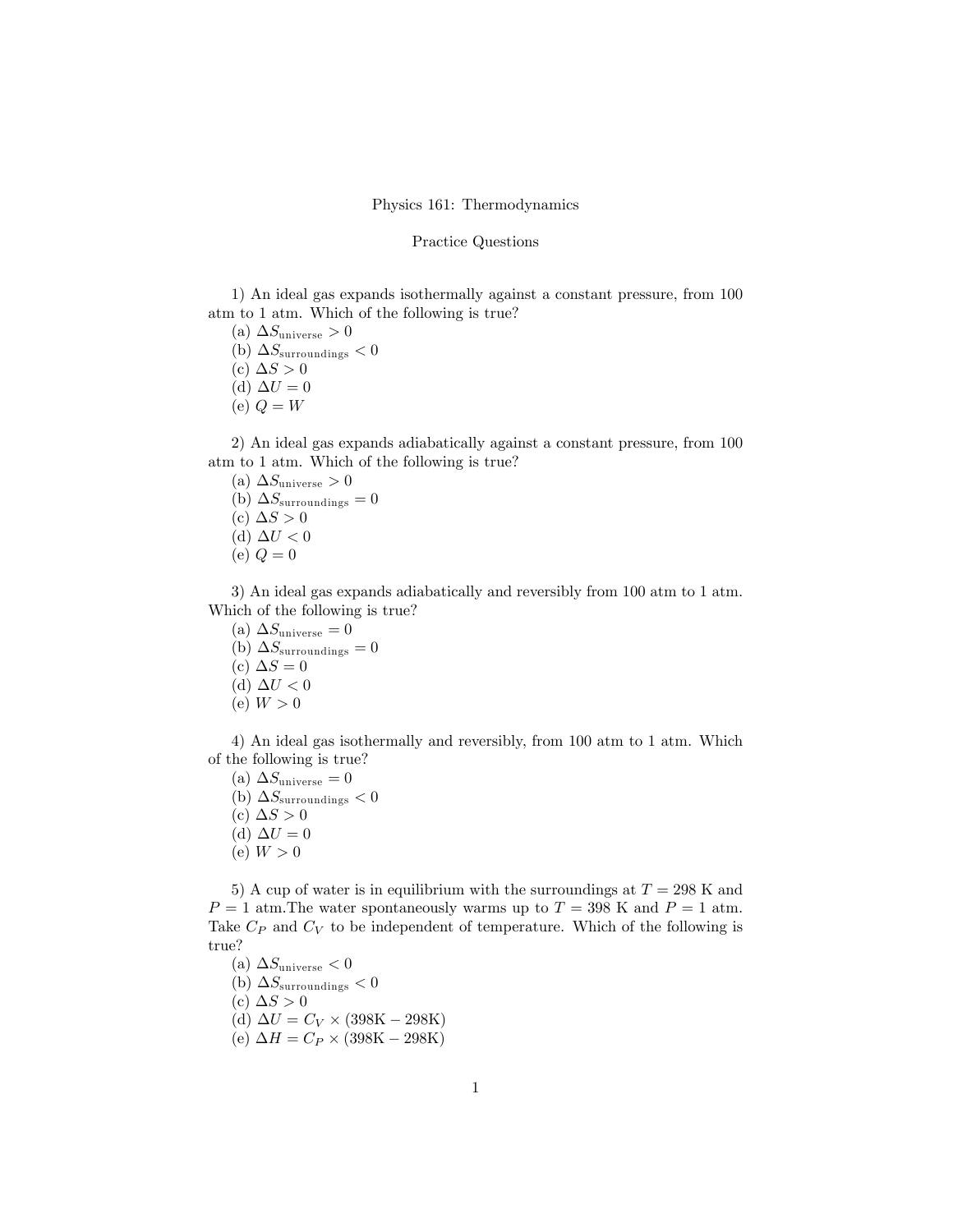## Physics 161: Thermodynamics

## Practice Questions

1) An ideal gas expands isothermally against a constant pressure, from 100 atm to 1 atm. Which of the following is true?

- (a)  $\Delta S_{\text{universe}} > 0$
- (b)  $\Delta S_{\text{surroundings}} < 0$
- (c)  $\Delta S > 0$
- (d)  $\Delta U = 0$
- (e)  $Q = W$

2) An ideal gas expands adiabatically against a constant pressure, from 100 atm to 1 atm. Which of the following is true?

- (a)  $\Delta S_{\text{universe}} > 0$ (b)  $\Delta S_{\text{surroundings}} = 0$ (c)  $\Delta S > 0$ (d)  $\Delta U < 0$
- (e)  $Q = 0$

3) An ideal gas expands adiabatically and reversibly from 100 atm to 1 atm. Which of the following is true?

- (a)  $\Delta S_{\text{universe}} = 0$
- (b)  $\Delta S_{\text{surroundings}} = 0$
- (c)  $\Delta S = 0$
- (d)  $\Delta U < 0$
- (e)  $W > 0$

4) An ideal gas isothermally and reversibly, from 100 atm to 1 atm. Which of the following is true?

- (a)  $\Delta S_{\text{universe}} = 0$
- (b)  $\Delta S_{\text{surroundings}} < 0$
- (c)  $\Delta S > 0$
- (d)  $\Delta U = 0$
- (e)  $W > 0$

5) A cup of water is in equilibrium with the surroundings at  $T = 298$  K and  $P = 1$  atm. The water spontaneously warms up to  $T = 398$  K and  $P = 1$  atm. Take  $C_P$  and  $C_V$  to be independent of temperature. Which of the following is true?

- (a)  $\Delta S_{\text{universe}} < 0$
- (b)  $\Delta S_{\text{surroundings}} < 0$
- (c)  $\Delta S > 0$
- (d)  $\Delta U = C_V \times (398 \text{K} 298 \text{K})$
- (e)  $\Delta H = C_P \times (398 \text{K} 298 \text{K})$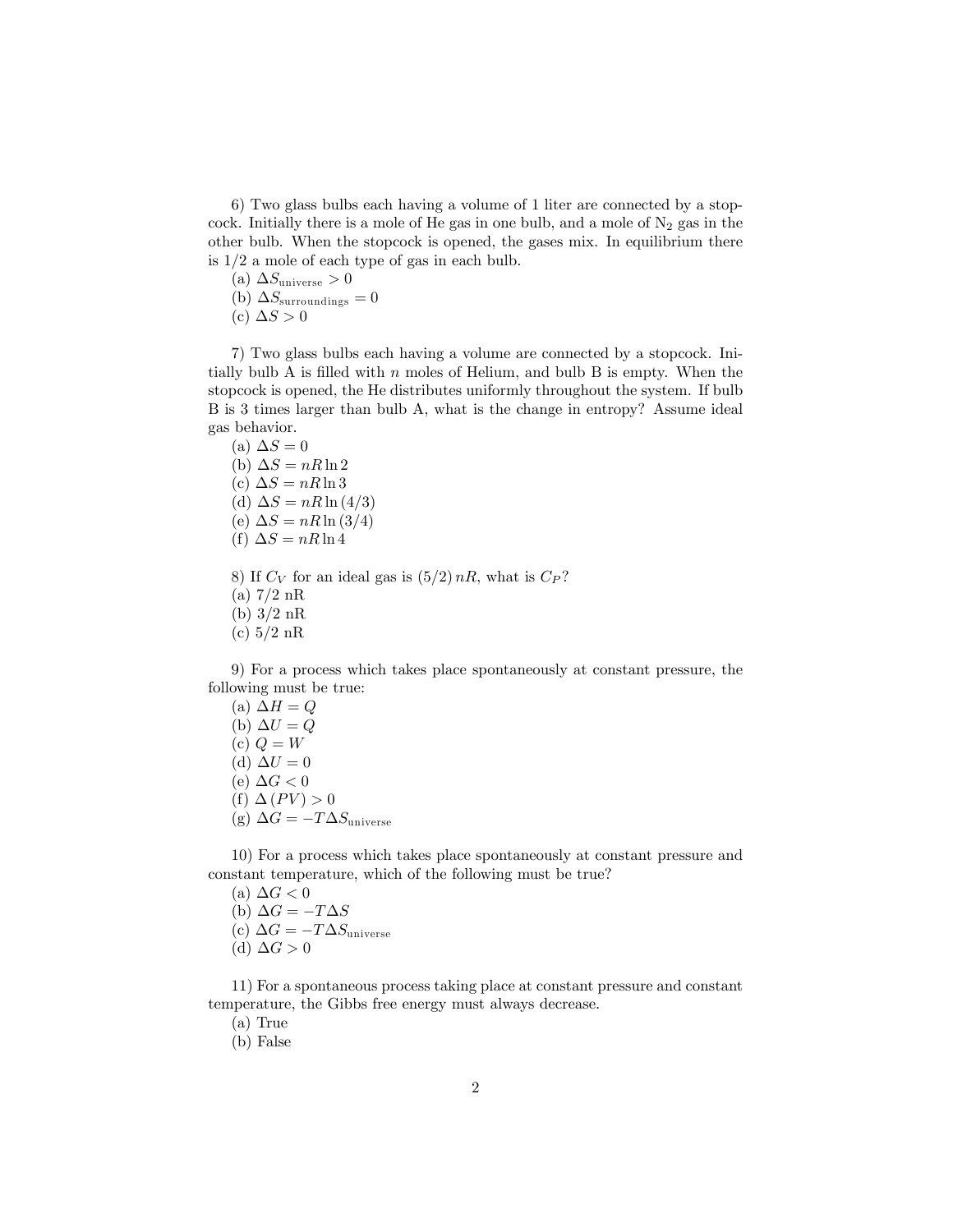6) Two glass bulbs each having a volume of 1 liter are connected by a stopcock. Initially there is a mole of He gas in one bulb, and a mole of  $N_2$  gas in the other bulb. When the stopcock is opened, the gases mix. In equilibrium there is 1/2 a mole of each type of gas in each bulb.

- (a)  $\Delta S_{\text{universe}} > 0$
- (b)  $\Delta S_{\text{surroundings}} = 0$
- (c)  $\Delta S > 0$

7) Two glass bulbs each having a volume are connected by a stopcock. Initially bulb A is filled with  $n$  moles of Helium, and bulb B is empty. When the stopcock is opened, the He distributes uniformly throughout the system. If bulb B is 3 times larger than bulb A, what is the change in entropy? Assume ideal gas behavior.

- (a)  $\Delta S = 0$ (b)  $\Delta S = nR \ln 2$ (c)  $\Delta S = nR \ln 3$ (d)  $\Delta S = nR \ln(4/3)$ (e)  $\Delta S = nR \ln(3/4)$ (f)  $\Delta S = nR \ln 4$
- 8) If  $C_V$  for an ideal gas is  $(5/2)$  nR, what is  $C_P$ ?
- $(a)$  7/2 nR
- (b) 3/2 nR
- (c) 5/2 nR

9) For a process which takes place spontaneously at constant pressure, the following must be true:

(a)  $\Delta H = Q$ (b)  $\Delta U = Q$ (c)  $Q = W$ (d)  $\Delta U = 0$ (e)  $\Delta G < 0$ (f)  $\Delta$  (PV)  $> 0$ (g)  $\Delta G = -T \Delta S_{\text{universe}}$ 

10) For a process which takes place spontaneously at constant pressure and constant temperature, which of the following must be true?

- (a)  $\Delta G < 0$
- (b)  $\Delta G = -T\Delta S$
- (c)  $\Delta G = -T \Delta S_{\text{universe}}$
- (d)  $\Delta G > 0$

11) For a spontaneous process taking place at constant pressure and constant temperature, the Gibbs free energy must always decrease.

(a) True

(b) False